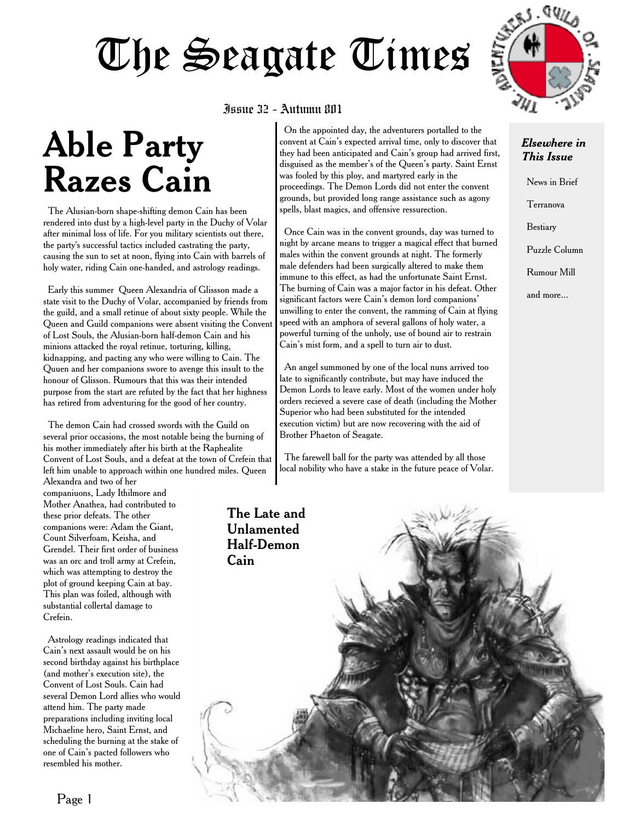# The Seagate Times

## **Able Party Razes Cain**

The Alusian-born shape-shifting demon Cain has been rendered into dust by a high-level party in the Duchy of Volar after minimal loss of life. For you military scientists out there, the party's successful tactics included castrating the party, causing the sun to set at noon, flying into Cain with barrels of holy water, riding Cain one-handed, and astrology readings.

Early this summer Queen Alexandria of Glissson made a state visit to the Duchy of Volar, accompanied by friends from the guild, and a small retinue of about sixty people. While the Queen and Guild companions were absent visiting the Convent of Lost Souls, the Alusian-born half-demon Cain and his minions attacked the royal retinue, torturing, killing, kidnapping, and pacting any who were willing to Cain. The Quuen and her companions swore to avenge this insult to the honour of Glisson. Rumours that this was their intended purpose from the start are refuted by the fact that her highness has retired from adventuring for the good of her country.

The demon Cain had crossed swords with the Guild on several prior occasions, the most notable being the burning of his mother immediately after his birth at the Raphealite Convent of Lost Souls, and a defeat at the town of Crefein that left him unable to approach within one hundred miles. Queen

Alexandra and two of her companiuons, Lady Ithilmore and Mother Anathea, had contributed to these prior defeats. The other companions were: Adam the Giant, Count Silverfoam, Keisha, and Grendel. Their first order of business was an orc and troll army at Crefein, which was attempting to destroy the plot of ground keeping Cain at bay. This plan was foiled, although with substantial collertal damage to Crefein.

Astrology readings indicated that Cain's next assault would be on his second birthday against his birthplace (and mother's execution site), the Convent of Lost Souls. Cain had several Demon Lord allies who would attend him. The party made preparations including inviting local Michaeline hero, Saint Ernst, and scheduling the burning at the stake of one of Cain's pacted followers who resembled his mother.

#### Issue 32 - Autumn 801

On the appointed day, the adventurers portalled to the convent at Cain's expected arrival time, only to discover that they had been anticipated and Cain's group had arrived first, disguised as the member's of the Queen's party. Saint Ernst was fooled by this ploy, and martyred early in the proceedings. The Demon Lords did not enter the convent grounds, but provided long range assistance such as agony spells, blast magics, and offensive ressurection.

Once Cain was in the convent grounds, day was turned to night by arcane means to trigger a magical effect that burned males within the convent grounds at night. The formerly male defenders had been surgically altered to make them immune to this effect, as had the unfortunate Saint Ernst. The burning of Cain was a major factor in his defeat. Other significant factors were Cain's demon lord companions' unwilling to enter the convent, the ramming of Cain at flying speed with an amphora of several gallons of holy water, a powerful turning of the unholy, use of bound air to restrain Cain's mist form, and a spell to turn air to dust.

An angel summoned by one of the local nuns arrived too late to significantly contribute, but may have induced the Demon Lords to leave early. Most of the women under holy orders recieved a severe case of death (including the Mother Superior who had been substituted for the intended execution victim) but are now recovering with the aid of Brother Phaeton of Seagate.

The farewell ball for the party was attended by all those local nobility who have a stake in the future peace of Volar.

The Late and



#### *Elsewhere in This Issue*

News in Brief

Terranova

Bestiary

Puzzle Column

Rumour Mill

and more...

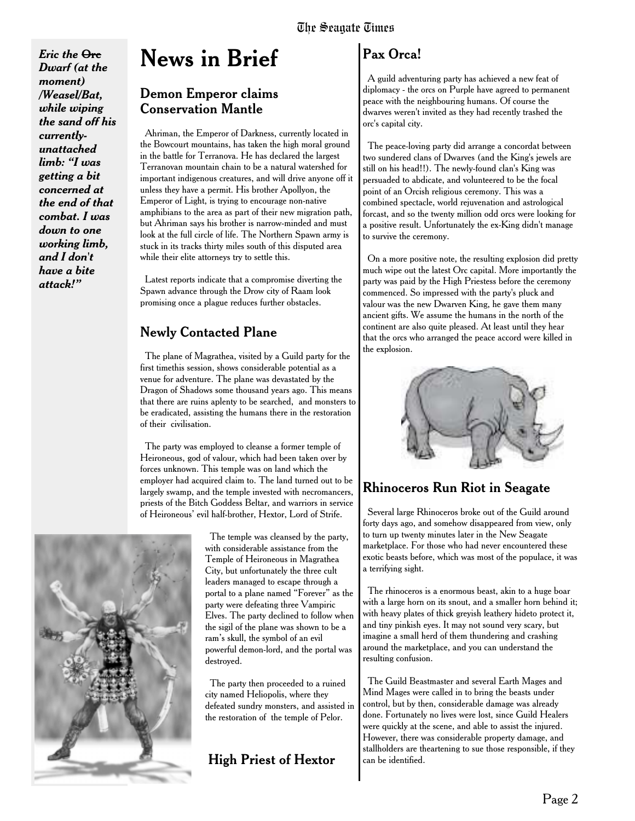*Eric the* **Orc** *Dwarf (at the moment) /Weasel/Bat, while wiping the sand off his currentlyunattached limb: "I was getting a bit concerned at the end of that combat. I was down to one working limb, and I don't have a bite attack!"*

### **News in Brief**

#### Demon Emperor claims Conservation Mantle

Ahriman, the Emperor of Darkness, currently located in the Bowcourt mountains, has taken the high moral ground in the battle for Terranova. He has declared the largest Terranovan mountain chain to be a natural watershed for important indigenous creatures, and will drive anyone off it unless they have a permit. His brother Apollyon, the Emperor of Light, is trying to encourage non-native amphibians to the area as part of their new migration path, but Ahriman says his brother is narrow-minded and must look at the full circle of life. The Northern Spawn army is stuck in its tracks thirty miles south of this disputed area while their elite attorneys try to settle this.

Latest reports indicate that a compromise diverting the Spawn advance through the Drow city of Raam look promising once a plague reduces further obstacles.

### Newly Contacted Plane

The plane of Magrathea, visited by a Guild party for the first timethis session, shows considerable potential as a venue for adventure. The plane was devastated by the Dragon of Shadows some thousand years ago. This means that there are ruins aplenty to be searched, and monsters to be eradicated, assisting the humans there in the restoration of their civilisation.

The party was employed to cleanse a former temple of Heironeous, god of valour, which had been taken over by forces unknown. This temple was on land which the employer had acquired claim to. The land turned out to be largely swamp, and the temple invested with necromancers, priests of the Bitch Goddess Beltar, and warriors in service of Heironeous' evil half-brother, Hextor, Lord of Strife.



The temple was cleansed by the party, with considerable assistance from the Temple of Heironeous in Magrathea City, but unfortunately the three cult leaders managed to escape through a portal to a plane named "Forever" as the party were defeating three Vampiric Elves. The party declined to follow when the sigil of the plane was shown to be a ram's skull, the symbol of an evil powerful demon-lord, and the portal was destroyed.

The party then proceeded to a ruined city named Heliopolis, where they defeated sundry monsters, and assisted in the restoration of the temple of Pelor.

### High Priest of Hextor

### Pax Orca!

A guild adventuring party has achieved a new feat of diplomacy - the orcs on Purple have agreed to permanent peace with the neighbouring humans. Of course the dwarves weren't invited as they had recently trashed the orc's capital city.

The peace-loving party did arrange a concordat between two sundered clans of Dwarves (and the King's jewels are still on his head!!). The newly-found clan's King was persuaded to abdicate, and volunteered to be the focal point of an Orcish religious ceremony. This was a combined spectacle, world rejuvenation and astrological forcast, and so the twenty million odd orcs were looking for a positive result. Unfortunately the ex-King didn't manage to survive the ceremony.

On a more positive note, the resulting explosion did pretty much wipe out the latest Orc capital. More importantly the party was paid by the High Priestess before the ceremony commenced. So impressed with the party's pluck and valour was the new Dwarven King, he gave them many ancient gifts. We assume the humans in the north of the continent are also quite pleased. At least until they hear that the orcs who arranged the peace accord were killed in the explosion.



### Rhinoceros Run Riot in Seagate

Several large Rhinoceros broke out of the Guild around forty days ago, and somehow disappeared from view, only to turn up twenty minutes later in the New Seagate marketplace. For those who had never encountered these exotic beasts before, which was most of the populace, it was a terrifying sight.

The rhinoceros is a enormous beast, akin to a huge boar with a large horn on its snout, and a smaller horn behind it; with heavy plates of thick greyish leathery hideto protect it, and tiny pinkish eyes. It may not sound very scary, but imagine a small herd of them thundering and crashing around the marketplace, and you can understand the resulting confusion.

The Guild Beastmaster and several Earth Mages and Mind Mages were called in to bring the beasts under control, but by then, considerable damage was already done. Fortunately no lives were lost, since Guild Healers were quickly at the scene, and able to assist the injured. However, there was considerable property damage, and stallholders are theartening to sue those responsible, if they can be identified.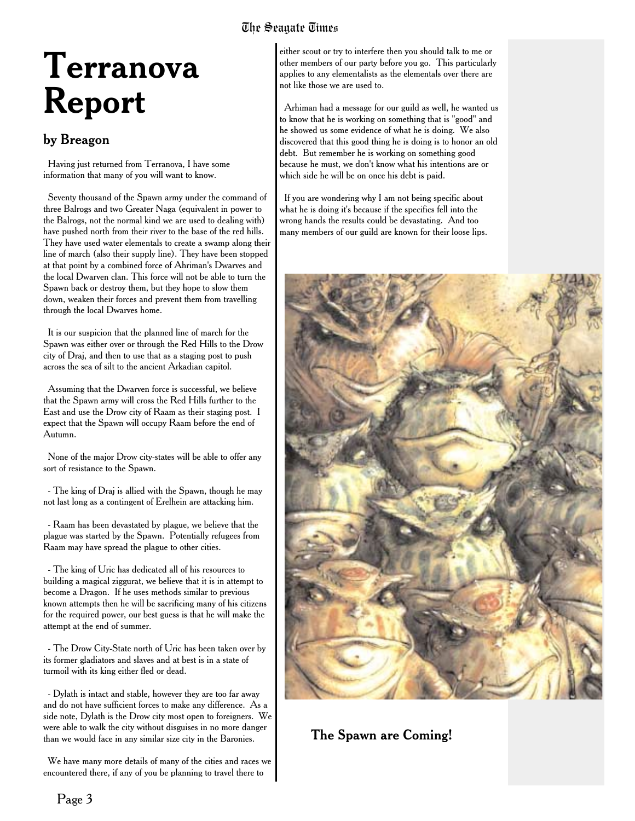### The Seagate Times

## **Terranova Report**

#### by Breagon

Having just returned from Terranova, I have some information that many of you will want to know.

Seventy thousand of the Spawn army under the command of three Balrogs and two Greater Naga (equivalent in power to the Balrogs, not the normal kind we are used to dealing with) have pushed north from their river to the base of the red hills. They have used water elementals to create a swamp along their line of march (also their supply line). They have been stopped at that point by a combined force of Ahriman's Dwarves and the local Dwarven clan. This force will not be able to turn the Spawn back or destroy them, but they hope to slow them down, weaken their forces and prevent them from travelling through the local Dwarves home.

It is our suspicion that the planned line of march for the Spawn was either over or through the Red Hills to the Drow city of Draj, and then to use that as a staging post to push across the sea of silt to the ancient Arkadian capitol.

Assuming that the Dwarven force is successful, we believe that the Spawn army will cross the Red Hills further to the East and use the Drow city of Raam as their staging post. I expect that the Spawn will occupy Raam before the end of Autumn.

None of the major Drow city-states will be able to offer any sort of resistance to the Spawn.

- The king of Draj is allied with the Spawn, though he may not last long as a contingent of Erelhein are attacking him.

- Raam has been devastated by plague, we believe that the plague was started by the Spawn. Potentially refugees from Raam may have spread the plague to other cities.

- The king of Uric has dedicated all of his resources to building a magical ziggurat, we believe that it is in attempt to become a Dragon. If he uses methods similar to previous known attempts then he will be sacrificing many of his citizens for the required power, our best guess is that he will make the attempt at the end of summer.

- The Drow City-State north of Uric has been taken over by its former gladiators and slaves and at best is in a state of turmoil with its king either fled or dead.

- Dylath is intact and stable, however they are too far away and do not have sufficient forces to make any difference. As a side note, Dylath is the Drow city most open to foreigners. We were able to walk the city without disguises in no more danger than we would face in any similar size city in the Baronies.

We have many more details of many of the cities and races we encountered there, if any of you be planning to travel there to

either scout or try to interfere then you should talk to me or other members of our party before you go. This particularly applies to any elementalists as the elementals over there are not like those we are used to.

Arhiman had a message for our guild as well, he wanted us to know that he is working on something that is "good" and he showed us some evidence of what he is doing. We also discovered that this good thing he is doing is to honor an old debt. But remember he is working on something good because he must, we don't know what his intentions are or which side he will be on once his debt is paid.

If you are wondering why I am not being specific about what he is doing it's because if the specifics fell into the wrong hands the results could be devastating. And too many members of our guild are known for their loose lips.



The Spawn are Coming!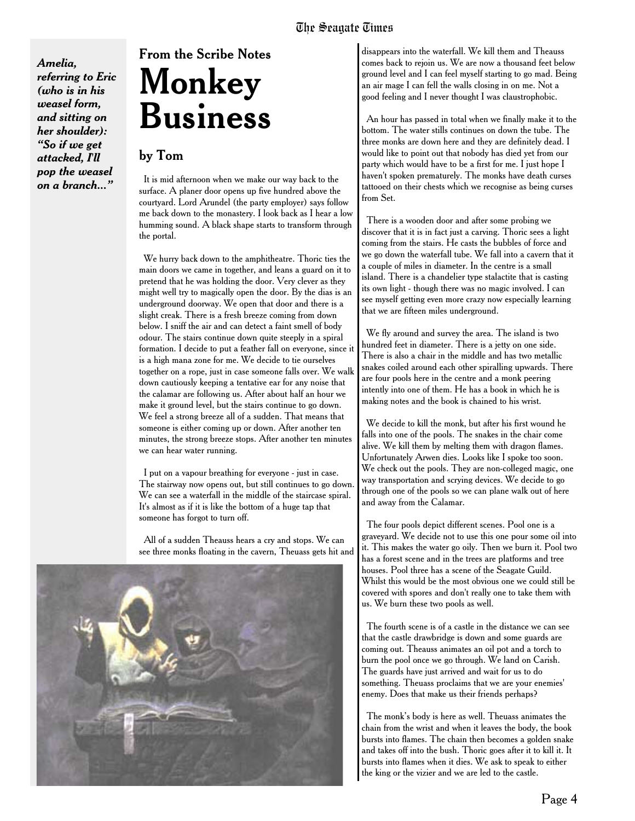*Amelia, referring to Eric (who is in his weasel form, and sitting on her shoulder): "So if we get attacked, I'll pop the weasel on a branch..."*

## From the Scribe Notes **Monkey Business**

#### by Tom

It is mid afternoon when we make our way back to the surface. A planer door opens up five hundred above the courtyard. Lord Arundel (the party employer) says follow me back down to the monastery. I look back as I hear a low humming sound. A black shape starts to transform through the portal.

We hurry back down to the amphitheatre. Thoric ties the main doors we came in together, and leans a guard on it to pretend that he was holding the door. Very clever as they might well try to magically open the door. By the dias is an underground doorway. We open that door and there is a slight creak. There is a fresh breeze coming from down below. I sniff the air and can detect a faint smell of body odour. The stairs continue down quite steeply in a spiral formation. I decide to put a feather fall on everyone, since it is a high mana zone for me. We decide to tie ourselves together on a rope, just in case someone falls over. We walk down cautiously keeping a tentative ear for any noise that the calamar are following us. After about half an hour we make it ground level, but the stairs continue to go down. We feel a strong breeze all of a sudden. That means that someone is either coming up or down. After another ten minutes, the strong breeze stops. After another ten minutes we can hear water running.

I put on a vapour breathing for everyone - just in case. The stairway now opens out, but still continues to go down. We can see a waterfall in the middle of the staircase spiral. It's almost as if it is like the bottom of a huge tap that someone has forgot to turn off.

All of a sudden Theauss hears a cry and stops. We can see three monks floating in the cavern, Theuass gets hit and



disappears into the waterfall. We kill them and Theauss comes back to rejoin us. We are now a thousand feet below ground level and I can feel myself starting to go mad. Being an air mage I can fell the walls closing in on me. Not a good feeling and I never thought I was claustrophobic.

An hour has passed in total when we finally make it to the bottom. The water stills continues on down the tube. The three monks are down here and they are definitely dead. I would like to point out that nobody has died yet from our party which would have to be a first for me. I just hope I haven't spoken prematurely. The monks have death curses tattooed on their chests which we recognise as being curses from Set.

There is a wooden door and after some probing we discover that it is in fact just a carving. Thoric sees a light coming from the stairs. He casts the bubbles of force and we go down the waterfall tube. We fall into a cavern that it a couple of miles in diameter. In the centre is a small island. There is a chandelier type stalactite that is casting its own light - though there was no magic involved. I can see myself getting even more crazy now especially learning that we are fifteen miles underground.

We fly around and survey the area. The island is two hundred feet in diameter. There is a jetty on one side. There is also a chair in the middle and has two metallic snakes coiled around each other spiralling upwards. There are four pools here in the centre and a monk peering intently into one of them. He has a book in which he is making notes and the book is chained to his wrist.

We decide to kill the monk, but after his first wound he falls into one of the pools. The snakes in the chair come alive. We kill them by melting them with dragon flames. Unfortunately Arwen dies. Looks like I spoke too soon. We check out the pools. They are non-colleged magic, one way transportation and scrying devices. We decide to go through one of the pools so we can plane walk out of here and away from the Calamar.

The four pools depict different scenes. Pool one is a graveyard. We decide not to use this one pour some oil into it. This makes the water go oily. Then we burn it. Pool two has a forest scene and in the trees are platforms and tree houses. Pool three has a scene of the Seagate Guild. Whilst this would be the most obvious one we could still be covered with spores and don't really one to take them with us. We burn these two pools as well.

The fourth scene is of a castle in the distance we can see that the castle drawbridge is down and some guards are coming out. Theauss animates an oil pot and a torch to burn the pool once we go through. We land on Carish. The guards have just arrived and wait for us to do something. Theuass proclaims that we are your enemies' enemy. Does that make us their friends perhaps?

The monk's body is here as well. Theuass animates the chain from the wrist and when it leaves the body, the book bursts into flames. The chain then becomes a golden snake and takes off into the bush. Thoric goes after it to kill it. It bursts into flames when it dies. We ask to speak to either the king or the vizier and we are led to the castle.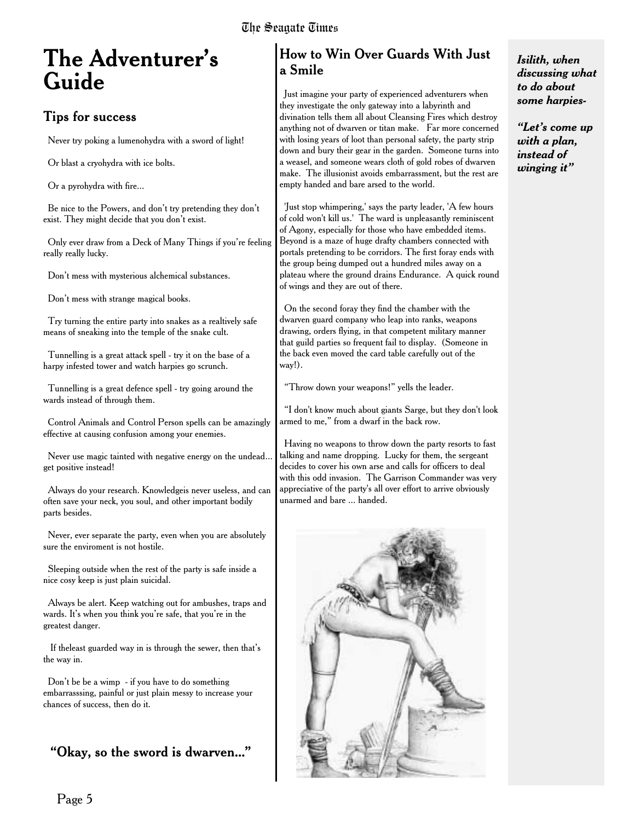### **The Adventurer's Guide**

### Tips for success

Never try poking a lumenohydra with a sword of light!

Or blast a cryohydra with ice bolts.

Or a pyrohydra with fire...

Be nice to the Powers, and don't try pretending they don't exist. They might decide that you don't exist.

Only ever draw from a Deck of Many Things if you're feeling really really lucky.

Don't mess with mysterious alchemical substances.

Don't mess with strange magical books.

Try turning the entire party into snakes as a realtively safe means of sneaking into the temple of the snake cult.

Tunnelling is a great attack spell - try it on the base of a harpy infested tower and watch harpies go scrunch.

Tunnelling is a great defence spell - try going around the wards instead of through them.

Control Animals and Control Person spells can be amazingly effective at causing confusion among your enemies.

Never use magic tainted with negative energy on the undead... get positive instead!

Always do your research. Knowledgeis never useless, and can often save your neck, you soul, and other important bodily parts besides.

Never, ever separate the party, even when you are absolutely sure the enviroment is not hostile.

Sleeping outside when the rest of the party is safe inside a nice cosy keep is just plain suicidal.

Always be alert. Keep watching out for ambushes, traps and wards. It's when you think you're safe, that you're in the greatest danger.

If theleast guarded way in is through the sewer, then that's the way in.

Don't be be a wimp - if you have to do something embarrasssing, painful or just plain messy to increase your chances of success, then do it.

### "Okay, so the sword is dwarven..."

### How to Win Over Guards With Just a Smile

Just imagine your party of experienced adventurers when they investigate the only gateway into a labyrinth and divination tells them all about Cleansing Fires which destroy anything not of dwarven or titan make. Far more concerned with losing years of loot than personal safety, the party strip down and bury their gear in the garden. Someone turns into a weasel, and someone wears cloth of gold robes of dwarven make. The illusionist avoids embarrassment, but the rest are empty handed and bare arsed to the world.

'Just stop whimpering,' says the party leader, 'A few hours of cold won't kill us.' The ward is unpleasantly reminiscent of Agony, especially for those who have embedded items. Beyond is a maze of huge drafty chambers connected with portals pretending to be corridors. The first foray ends with the group being dumped out a hundred miles away on a plateau where the ground drains Endurance. A quick round of wings and they are out of there.

On the second foray they find the chamber with the dwarven guard company who leap into ranks, weapons drawing, orders flying, in that competent military manner that guild parties so frequent fail to display. (Someone in the back even moved the card table carefully out of the way!).

"Throw down your weapons!" yells the leader.

"I don't know much about giants Sarge, but they don't look armed to me," from a dwarf in the back row.

Having no weapons to throw down the party resorts to fast talking and name dropping. Lucky for them, the sergeant decides to cover his own arse and calls for officers to deal with this odd invasion. The Garrison Commander was very appreciative of the party's all over effort to arrive obviously unarmed and bare ... handed.



#### *Isilith, when discussing what to do about some harpies-*

*"Let's come up with a plan, instead of winging it"*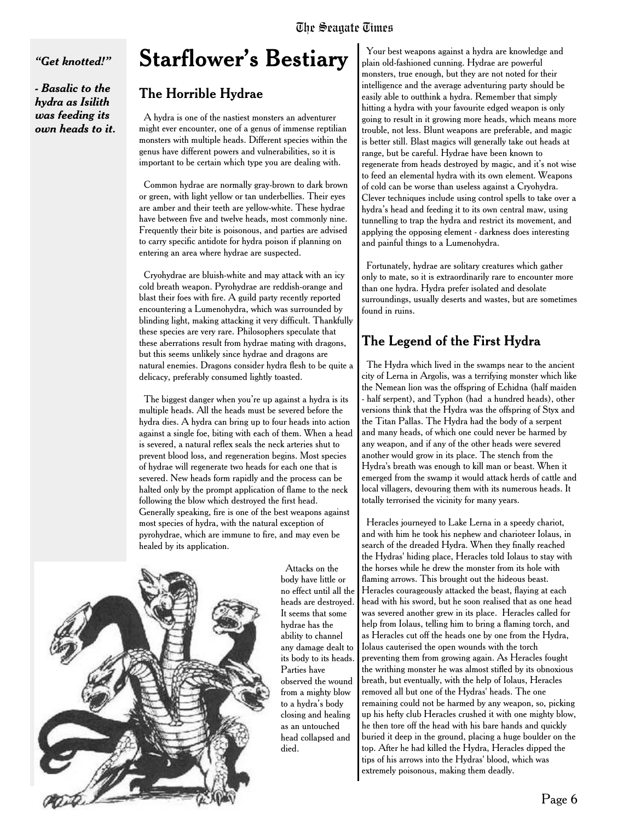*"Get knotted!"*

*- Basalic to the hydra as Isilith was feeding its own heads to it.*

### **Starflower's Bestiary**

### The Horrible Hydrae

A hydra is one of the nastiest monsters an adventurer might ever encounter, one of a genus of immense reptilian monsters with multiple heads. Different species within the genus have different powers and vulnerabilities, so it is important to be certain which type you are dealing with.

Common hydrae are normally gray-brown to dark brown or green, with light yellow or tan underbellies. Their eyes are amber and their teeth are yellow-white. These hydrae have between five and twelve heads, most commonly nine. Frequently their bite is poisonous, and parties are advised to carry specific antidote for hydra poison if planning on entering an area where hydrae are suspected.

Cryohydrae are bluish-white and may attack with an icy cold breath weapon. Pyrohydrae are reddish-orange and blast their foes with fire. A guild party recently reported encountering a Lumenohydra, which was surrounded by blinding light, making attacking it very difficult. Thankfully these species are very rare. Philosophers speculate that these aberrations result from hydrae mating with dragons, but this seems unlikely since hydrae and dragons are natural enemies. Dragons consider hydra flesh to be quite a delicacy, preferably consumed lightly toasted.

The biggest danger when you're up against a hydra is its multiple heads. All the heads must be severed before the hydra dies. A hydra can bring up to four heads into action against a single foe, biting with each of them. When a head is severed, a natural reflex seals the neck arteries shut to prevent blood loss, and regeneration begins. Most species of hydrae will regenerate two heads for each one that is severed. New heads form rapidly and the process can be halted only by the prompt application of flame to the neck following the blow which destroyed the first head. Generally speaking, fire is one of the best weapons against most species of hydra, with the natural exception of pyrohydrae, which are immune to fire, and may even be healed by its application.



Attacks on the body have little or no effect until all the heads are destroyed. It seems that some hydrae has the ability to channel any damage dealt to its body to its heads. Parties have observed the wound from a mighty blow to a hydra's body closing and healing as an untouched head collapsed and died.

Your best weapons against a hydra are knowledge and plain old-fashioned cunning. Hydrae are powerful monsters, true enough, but they are not noted for their intelligence and the average adventuring party should be easily able to outthink a hydra. Remember that simply hitting a hydra with your favourite edged weapon is only going to result in it growing more heads, which means more trouble, not less. Blunt weapons are preferable, and magic is better still. Blast magics will generally take out heads at range, but be careful. Hydrae have been known to regenerate from heads destroyed by magic, and it's not wise to feed an elemental hydra with its own element. Weapons of cold can be worse than useless against a Cryohydra. Clever techniques include using control spells to take over a hydra's head and feeding it to its own central maw, using tunnelling to trap the hydra and restrict its movement, and applying the opposing element - darkness does interesting and painful things to a Lumenohydra.

Fortunately, hydrae are solitary creatures which gather only to mate, so it is extraordinarily rare to encounter more than one hydra. Hydra prefer isolated and desolate surroundings, usually deserts and wastes, but are sometimes found in ruins.

### The Legend of the First Hydra

The Hydra which lived in the swamps near to the ancient city of Lerna in Argolis, was a terrifying monster which like the Nemean lion was the offspring of Echidna (half maiden - half serpent), and Typhon (had a hundred heads), other versions think that the Hydra was the offspring of Styx and the Titan Pallas. The Hydra had the body of a serpent and many heads, of which one could never be harmed by any weapon, and if any of the other heads were severed another would grow in its place. The stench from the Hydra's breath was enough to kill man or beast. When it emerged from the swamp it would attack herds of cattle and local villagers, devouring them with its numerous heads. It totally terrorised the vicinity for many years.

Heracles journeyed to Lake Lerna in a speedy chariot, and with him he took his nephew and charioteer Iolaus, in search of the dreaded Hydra. When they finally reached the Hydras' hiding place, Heracles told Iolaus to stay with the horses while he drew the monster from its hole with flaming arrows. This brought out the hideous beast. Heracles courageously attacked the beast, flaying at each head with his sword, but he soon realised that as one head was severed another grew in its place. Heracles called for help from Iolaus, telling him to bring a flaming torch, and as Heracles cut off the heads one by one from the Hydra, Iolaus cauterised the open wounds with the torch preventing them from growing again. As Heracles fought the writhing monster he was almost stifled by its obnoxious breath, but eventually, with the help of Iolaus, Heracles removed all but one of the Hydras' heads. The one remaining could not be harmed by any weapon, so, picking up his hefty club Heracles crushed it with one mighty blow, he then tore off the head with his bare hands and quickly buried it deep in the ground, placing a huge boulder on the top. After he had killed the Hydra, Heracles dipped the tips of his arrows into the Hydras' blood, which was extremely poisonous, making them deadly.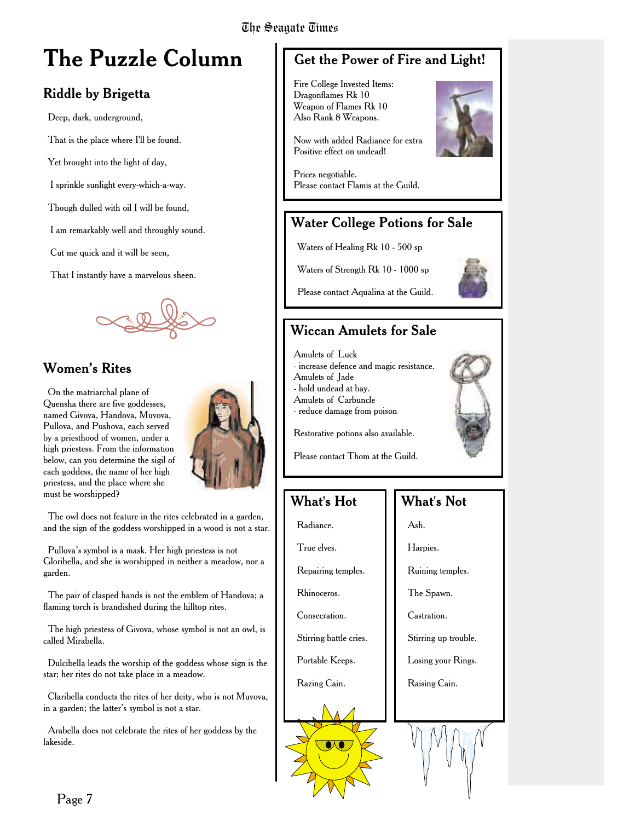### **The Puzzle Column**

### Riddle by Brigetta

Deep, dark, underground,

That is the place where I'll be found.

Yet brought into the light of day,

I sprinkle sunlight every-which-a-way.

Though dulled with oil I will be found,

I am remarkably well and throughly sound.

Cut me quick and it will be seen,

That I instantly have a marvelous sheen.



### Women's Rites

On the matriarchal plane of Quensha there are five goddesses, named Givova, Handova, Muvova, Pullova, and Pushova, each served by a priesthood of women, under a high priestess. From the information below, can you determine the sigil of each goddess, the name of her high priestess, and the place where she must be worshipped?



The owl does not feature in the rites celebrated in a garden, and the sign of the goddess worshipped in a wood is not a star.

Pullova's symbol is a mask. Her high priestess is not Gloribella, and she is worshipped in neither a meadow, nor a garden.

The pair of clasped hands is not the emblem of Handova; a flaming torch is brandished during the hilltop rites.

The high priestess of Givova, whose symbol is not an owl, is called Mirabella.

Dulcibella leads the worship of the goddess whose sign is the star; her rites do not take place in a meadow.

Claribella conducts the rites of her deity, who is not Muvova, in a garden; the latter's symbol is not a star.

Arabella does not celebrate the rites of her goddess by the lakeside.

### Get the Power of Fire and Light!

Fire College Invested Items: Dragonflames Rk 10 Weapon of Flames Rk 10 Also Rank 8 Weapons.

Now with added Radiance for extra Positive effect on undead!



Prices negotiable. Please contact Flamis at the Guild.

### Water College Potions for Sale

Waters of Healing Rk 10 - 500 sp

Waters of Strength Rk 10 - 1000 sp



Please contact Aqualina at the Guild.

### Wiccan Amulets for Sale

Amulets of Luck - increase defence and magic resistance. Amulets of Jade - hold undead at bay. Amulets of Carbuncle - reduce damage from poison



Restorative potions also available.

Please contact Thom at the Guild.

### What's Hot

Radiance.

True elves.

Repairing temples.

Rhinoceros.

Consecration.

Stirring battle cries.

Portable Keeps.

Razing Cain.

### What's Not

Ash.

Harpies.

Ruining temples.

The Spawn.

Castration.

Stirring up trouble.

Losing your Rings.

Raising Cain.